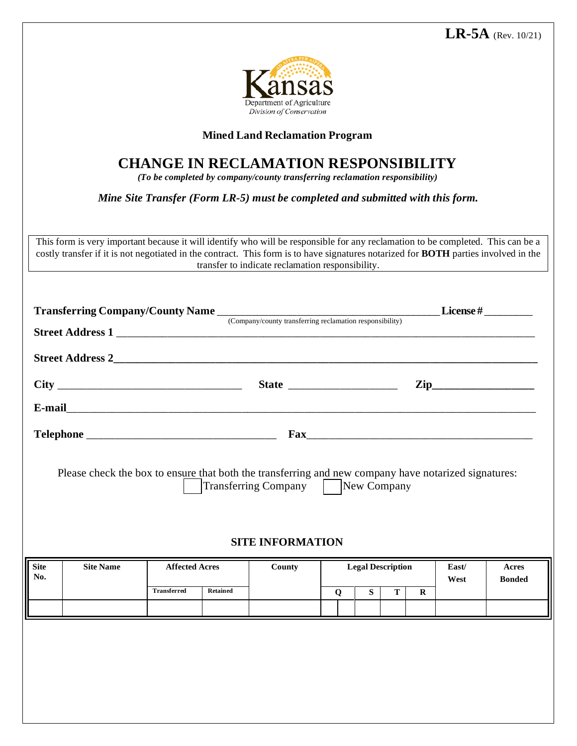

## **Mined Land Reclamation Program**

## **CHANGE IN RECLAMATION RESPONSIBILITY**

*(To be completed by company/county transferring reclamation responsibility)*

*Mine Site Transfer (Form LR-5) must be completed and submitted with this form.* 

This form is very important because it will identify who will be responsible for any reclamation to be completed. This can be a costly transfer if it is not negotiated in the contract. This form is to have signatures notarized for **BOTH** parties involved in the transfer to indicate reclamation responsibility.

| <b>Site Name</b> |                    |                 | County                |   | <b>Legal Description</b><br>East/<br>West       |           | Acres<br><b>Bonded</b> |                                                                                                         |  |                                                                                                                                                                                                                                                                                                                                                                                                                                                                                                               |
|------------------|--------------------|-----------------|-----------------------|---|-------------------------------------------------|-----------|------------------------|---------------------------------------------------------------------------------------------------------|--|---------------------------------------------------------------------------------------------------------------------------------------------------------------------------------------------------------------------------------------------------------------------------------------------------------------------------------------------------------------------------------------------------------------------------------------------------------------------------------------------------------------|
|                  | <b>Transferred</b> | <b>Retained</b> |                       | Q | S                                               | ${\bf T}$ | $\mathbf{R}$           |                                                                                                         |  |                                                                                                                                                                                                                                                                                                                                                                                                                                                                                                               |
|                  |                    |                 |                       |   |                                                 |           |                        |                                                                                                         |  |                                                                                                                                                                                                                                                                                                                                                                                                                                                                                                               |
|                  |                    |                 |                       |   |                                                 |           |                        |                                                                                                         |  |                                                                                                                                                                                                                                                                                                                                                                                                                                                                                                               |
|                  |                    |                 |                       |   |                                                 |           |                        |                                                                                                         |  |                                                                                                                                                                                                                                                                                                                                                                                                                                                                                                               |
|                  |                    |                 |                       |   |                                                 |           |                        |                                                                                                         |  |                                                                                                                                                                                                                                                                                                                                                                                                                                                                                                               |
|                  |                    |                 |                       |   |                                                 |           |                        |                                                                                                         |  |                                                                                                                                                                                                                                                                                                                                                                                                                                                                                                               |
|                  |                    |                 | <b>Affected Acres</b> |   | Transferring Company<br><b>SITE INFORMATION</b> |           |                        | Transferring Company/County Name Company/county transferring reclamation responsibility)<br>New Company |  | $\mathbf{Zip}\_$<br>$\text{Fax}_{\text{max}}$ and $\text{Fax}_{\text{max}}$ and $\text{Fax}_{\text{max}}$ and $\text{Fax}_{\text{max}}$ and $\text{Fax}_{\text{max}}$ and $\text{Fax}_{\text{max}}$ and $\text{Fax}_{\text{max}}$ and $\text{Fax}_{\text{max}}$ and $\text{Fax}_{\text{max}}$ and $\text{Fax}_{\text{max}}$ and $\text{Fax}_{\text{max}}$ and $\text{Fax}_{\text{max}}$ and $\text{F$<br>Please check the box to ensure that both the transferring and new company have notarized signatures: |